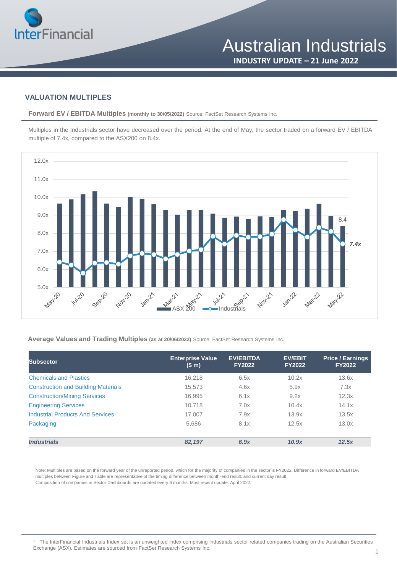

## **VALUATION MULTIPLES**

**Forward EV / EBITDA Multiples (monthly to 30/05/2022)** Source: FactSet Research Systems Inc.

Multiples in the Industrials sector have decreased over the period. At the end of May, the sector traded on a forward EV / EBITDA multiple of 7.4x, compared to the ASX200 on 8.4x.



## **Average Values and Trading Multiples (as at 20/06/2022)** Source: FactSet Research Systems Inc.

| <b>Subsector</b>                           | <b>Enterprise Value</b><br>(S <sub>m</sub> ) | <b>EV/EBITDA</b><br><b>FY2022</b> | <b>EV/EBIT</b><br><b>FY2022</b> | <b>Price / Earnings</b><br><b>FY2022</b> |
|--------------------------------------------|----------------------------------------------|-----------------------------------|---------------------------------|------------------------------------------|
| <b>Chemicals and Plastics</b>              | 16,218                                       | 6.5x                              | 10.2x                           | 13.6x                                    |
| <b>Construction and Building Materials</b> | 15,573                                       | 4.6x                              | 5.9x                            | 7.3x                                     |
| <b>Construction/Mining Services</b>        | 16,995                                       | 6.1x                              | 9.2x                            | 12.3x                                    |
| <b>Engineering Services</b>                | 10.718                                       | 7.0x                              | 10.4x                           | 14.1x                                    |
| <b>Industrial Products And Services</b>    | 17.007                                       | 7.9x                              | 13.9x                           | 13.5x                                    |
| Packaging                                  | 5,686                                        | 8.1x                              | 12.5x                           | 13.0x                                    |
| <b>Industrials</b>                         | 82,197                                       | 6.9x                              | 10.9x                           | 12.5x                                    |

Note: Multiples are based on the forward year of the unreported period, which for the majority of companies in the sector is FY2022. Difference in forward EV/EBITDA multiples between Figure and Table are representative of the timing difference between month-end result, and current day result. Composition of companies in Sector Dashboards are updated every 6 months. Most recent update: April 2022.

<sup>1</sup> The InterFinancial Industrials Index set is an unweighted index comprising Industrials sector related companies trading on the Australian Securities Exchange (ASX). Estimates are sourced from FactSet Research Systems Inc.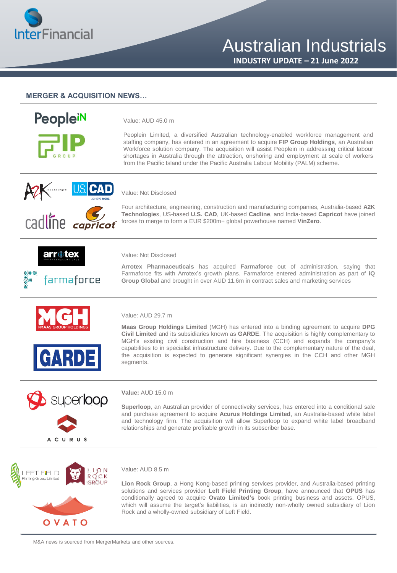

# Australian Industrials

**INDUSTRY UPDATE – 21 June 2022**

## **MERGER & ACQUISITION NEWS…**



Value: AUD 45.0 m

Peoplein Limited, a diversified Australian technology-enabled workforce management and staffing company, has entered in an agreement to acquire **FIP Group Holdings**, an Australian Workforce solution company. The acquisition will assist Peoplein in addressing critical labour shortages in Australia through the attraction, onshoring and employment at scale of workers from the Pacific Island under the Pacific Australia Labour Mobility (PALM) scheme.



## Value: Not Disclosed

Four architecture, engineering, construction and manufacturing companies, Australia-based **A2K Technologie**s, US-based **U.S. CAD**, UK-based **Cadline**, and India-based **Capricot** have joined forces to merge to form a EUR \$200m+ global powerhouse named **VinZero**.





#### Value: Not Disclosed

**Arrotex Pharmaceuticals** has acquired **Farmaforce** out of administration, saying that Farmaforce fits with Arrotex's growth plans. Farmaforce entered administration as part of **iQ Group Global** and brought in over AUD 11.6m in contract sales and marketing services





### Value: AUD 29.7 m

**Maas Group Holdings Limited** (MGH) has entered into a binding agreement to acquire **DPG Civil Limited** and its subsidiaries known as **GARDE**. The acquisition is highly complementary to MGH's existing civil construction and hire business (CCH) and expands the company's capabilities to in specialist infrastructure delivery. Due to the complementary nature of the deal, the acquisition is expected to generate significant synergies in the CCH and other MGH segments.



#### **Value:** AUD 15.0 m

**Superloop**, an Australian provider of connectiveity services, has entered into a conditional sale and purchase agreement to acquire **Acurus Holdings Limited**, an Australia-based white label and technology firm. The acquisition will allow Superloop to expand white label broadband relationships and generate profitable growth in its subscriber base.



#### Value: AUD 8.5 m

**Lion Rock Group**, a Hong Kong-based printing services provider, and Australia-based printing solutions and services provider **Left Field Printing Group**, have announced that **OPUS** has conditionally agreed to acquire **Ovato Limited's** book printing business and assets. OPUS, which will assume the target's liabilities, is an indirectly non-wholly owned subsidiary of Lion Rock and a wholly-owned subsidiary of Left Field.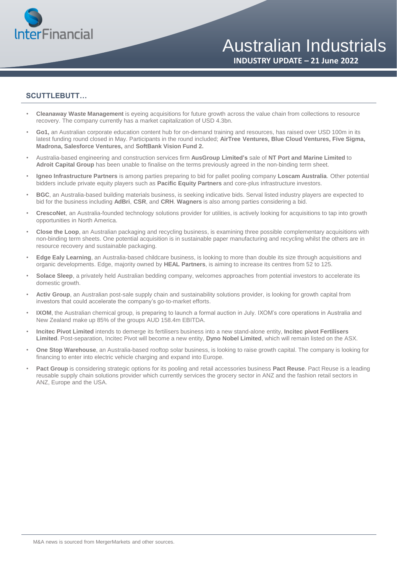

**INDUSTRY UPDATE – 21 June 2022**

## **SCUTTLEBUTT…**

- **Cleanaway Waste Management** is eyeing acquisitions for future growth across the value chain from collections to resource recovery. The company currently has a market capitalization of USD 4.3bn.
- **Go1,** an Australian corporate education content hub for on-demand training and resources, has raised over USD 100m in its latest funding round closed in May. Participants in the round included; **AirTree Ventures, Blue Cloud Ventures, Five Sigma, Madrona, Salesforce Ventures,** and **SoftBank Vision Fund 2.**
- Australia-based engineering and construction services firm **AusGroup Limited's** sale of **NT Port and Marine Limited** to **Adroit Capital Group** has been unable to finalise on the terms previously agreed in the non-binding term sheet.
- **Igneo Infrastructure Partners** is among parties preparing to bid for pallet pooling company **Loscam Australia**. Other potential bidders include private equity players such as **Pacific Equity Partners** and core-plus infrastructure investors.
- **BGC**, an Australia-based building materials business, is seeking indicative bids. Serval listed industry players are expected to bid for the business including **AdBri**, **CSR**, and **CRH**. **Wagners** is also among parties considering a bid.
- **CrescoNet**, an Australia-founded technology solutions provider for utilities, is actively looking for acquisitions to tap into growth opportunities in North America.
- **Close the Loop**, an Australian packaging and recycling business, is examining three possible complementary acquisitions with non-binding term sheets. One potential acquisition is in sustainable paper manufacturing and recycling whilst the others are in resource recovery and sustainable packaging.
- **Edge Ealy Learning**, an Australia-based childcare business, is looking to more than double its size through acquisitions and organic developments. Edge, majority owned by **HEAL Partners**, is aiming to increase its centres from 52 to 125.
- **Solace Sleep**, a privately held Australian bedding company, welcomes approaches from potential investors to accelerate its domestic growth.
- **Activ Group**, an Australian post-sale supply chain and sustainability solutions provider, is looking for growth capital from investors that could accelerate the company's go-to-market efforts.
- **IXOM**, the Australian chemical group, is preparing to launch a formal auction in July. IXOM's core operations in Australia and New Zealand make up 85% of the groups AUD 158.4m EBITDA.
- **Incitec Pivot Limited** intends to demerge its fertilisers business into a new stand-alone entity, **Incitec pivot Fertilisers Limited**. Post-separation, Incitec Pivot will become a new entity, **Dyno Nobel Limited**, which will remain listed on the ASX.
- **One Stop Warehouse**, an Australia-based rooftop solar business, is looking to raise growth capital. The company is looking for financing to enter into electric vehicle charging and expand into Europe.
- **Pact Group** is considering strategic options for its pooling and retail accessories business **Pact Reuse**. Pact Reuse is a leading reusable supply chain solutions provider which currently services the grocery sector in ANZ and the fashion retail sectors in ANZ, Europe and the USA.